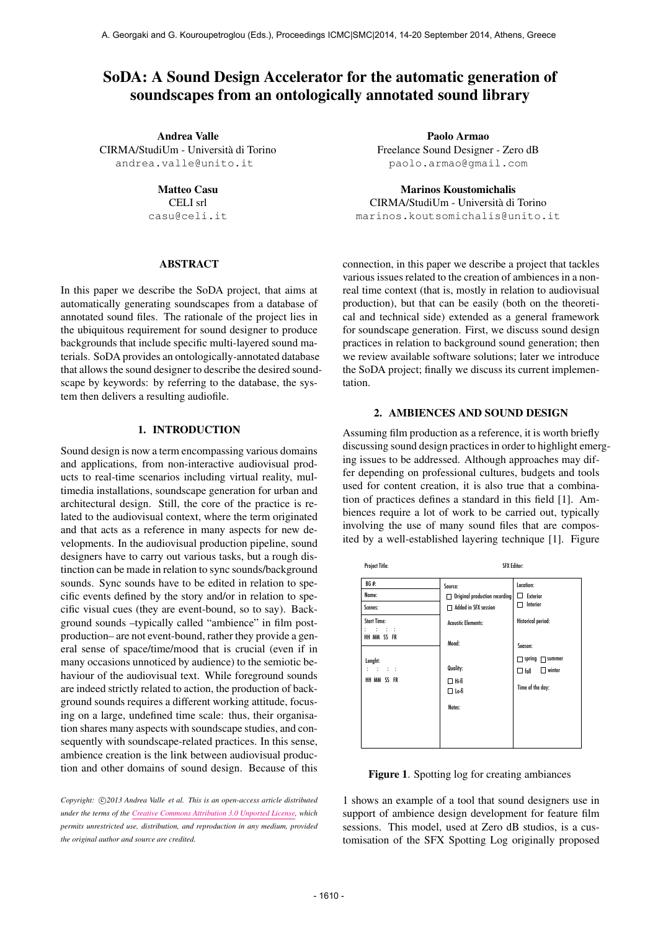# SoDA: A Sound Design Accelerator for the automatic generation of soundscapes from an ontologically annotated sound library

Andrea Valle CIRMA/StudiUm - Universita di Torino ` [andrea.valle@unito.it](mailto:andrea.valle@unito.it)

> Matteo Casu CELI srl

[casu@celi.it](mailto:author3@smcnetwork.org)

# ABSTRACT

In this paper we describe the SoDA project, that aims at automatically generating soundscapes from a database of annotated sound files. The rationale of the project lies in the ubiquitous requirement for sound designer to produce backgrounds that include specific multi-layered sound materials. SoDA provides an ontologically-annotated database that allows the sound designer to describe the desired soundscape by keywords: by referring to the database, the system then delivers a resulting audiofile.

# 1. INTRODUCTION

Sound design is now a term encompassing various domains and applications, from non-interactive audiovisual products to real-time scenarios including virtual reality, multimedia installations, soundscape generation for urban and architectural design. Still, the core of the practice is related to the audiovisual context, where the term originated and that acts as a reference in many aspects for new developments. In the audiovisual production pipeline, sound designers have to carry out various tasks, but a rough distinction can be made in relation to sync sounds/background sounds. Sync sounds have to be edited in relation to specific events defined by the story and/or in relation to specific visual cues (they are event-bound, so to say). Background sounds –typically called "ambience" in film postproduction– are not event-bound, rather they provide a general sense of space/time/mood that is crucial (even if in many occasions unnoticed by audience) to the semiotic behaviour of the audiovisual text. While foreground sounds are indeed strictly related to action, the production of background sounds requires a different working attitude, focusing on a large, undefined time scale: thus, their organisation shares many aspects with soundscape studies, and consequently with soundscape-related practices. In this sense, ambience creation is the link between audiovisual production and other domains of sound design. Because of this

Copyright:  $\bigcirc$ 2013 Andrea Valle et al. This is an open-access article distributed *under the terms of the [Creative Commons Attribution 3.0 Unported License,](http://creativecommons.org/licenses/by/3.0/) which permits unrestricted use, distribution, and reproduction in any medium, provided the original author and source are credited.*

Paolo Armao Freelance Sound Designer - Zero dB [paolo.armao@gmail.com](mailto:paolo.armao@gmail.com)

Marinos Koustomichalis CIRMA/StudiUm - Universita di Torino ` [marinos.koutsomichalis@unito.it](mailto:marinos.koutsomichalis@unito.it)

connection, in this paper we describe a project that tackles various issues related to the creation of ambiences in a nonreal time context (that is, mostly in relation to audiovisual production), but that can be easily (both on the theoretical and technical side) extended as a general framework for soundscape generation. First, we discuss sound design practices in relation to background sound generation; then we review available software solutions; later we introduce the SoDA project; finally we discuss its current implementation.

#### 2. AMBIENCES AND SOUND DESIGN

Assuming film production as a reference, it is worth briefly discussing sound design practices in order to highlight emerging issues to be addressed. Although approaches may differ depending on professional cultures, budgets and tools used for content creation, it is also true that a combination of practices defines a standard in this field [1]. Ambiences require a lot of work to be carried out, typically involving the use of many sound files that are composited by a well-established layering technique [1]. Figure

| <b>Project Title:</b>                                      | <b>SFX Editor:</b>                                                                                     |                                                                                            |
|------------------------------------------------------------|--------------------------------------------------------------------------------------------------------|--------------------------------------------------------------------------------------------|
| BG#:<br>Name:<br>Scenes:<br><b>Start Time:</b><br>r roman  | Source:<br>$\Box$ Original production recording<br>□ Added in SFX session<br><b>Acoustic Elements:</b> | Location:<br>$\Box$ Exterior<br>Interior<br>п<br>Historical period:                        |
| HH MM SS FR<br>Lenght:<br>on the first<br>÷<br>HH MM SS FR | Mood:<br>Quality:<br>$\Box$ Hi-fi<br>□ Lo-fi<br>Notes:                                                 | Season:<br>$\Box$ spring $\Box$ summer<br>$\Box$ winter<br>$\Box$ fall<br>Time of the day: |

Figure 1. Spotting log for creating ambiances

1 shows an example of a tool that sound designers use in support of ambience design development for feature film sessions. This model, used at Zero dB studios, is a customisation of the SFX Spotting Log originally proposed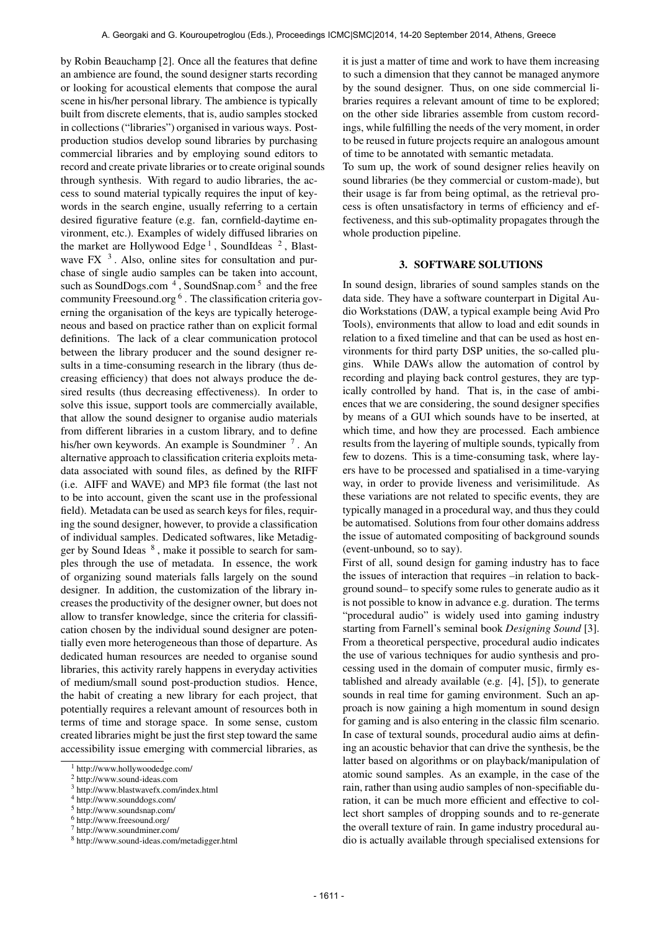by Robin Beauchamp [2]. Once all the features that define an ambience are found, the sound designer starts recording or looking for acoustical elements that compose the aural scene in his/her personal library. The ambience is typically built from discrete elements, that is, audio samples stocked in collections ("libraries") organised in various ways. Postproduction studios develop sound libraries by purchasing commercial libraries and by employing sound editors to record and create private libraries or to create original sounds through synthesis. With regard to audio libraries, the access to sound material typically requires the input of keywords in the search engine, usually referring to a certain desired figurative feature (e.g. fan, cornfield-daytime environment, etc.). Examples of widely diffused libraries on the market are Hollywood Edge<sup>1</sup>, SoundIdeas<sup>2</sup>, Blastwave FX $<sup>3</sup>$ . Also, online sites for consultation and pur-</sup> chase of single audio samples can be taken into account, such as SoundDogs.com<sup>4</sup>, SoundSnap.com<sup>5</sup> and the free community Freesound.org <sup>6</sup>. The classification criteria governing the organisation of the keys are typically heterogeneous and based on practice rather than on explicit formal definitions. The lack of a clear communication protocol between the library producer and the sound designer results in a time-consuming research in the library (thus decreasing efficiency) that does not always produce the desired results (thus decreasing effectiveness). In order to solve this issue, support tools are commercially available, that allow the sound designer to organise audio materials from different libraries in a custom library, and to define his/her own keywords. An example is Soundminer<sup>7</sup>. An alternative approach to classification criteria exploits metadata associated with sound files, as defined by the RIFF (i.e. AIFF and WAVE) and MP3 file format (the last not to be into account, given the scant use in the professional field). Metadata can be used as search keys for files, requiring the sound designer, however, to provide a classification of individual samples. Dedicated softwares, like Metadigger by Sound Ideas  $8$ , make it possible to search for samples through the use of metadata. In essence, the work of organizing sound materials falls largely on the sound designer. In addition, the customization of the library increases the productivity of the designer owner, but does not allow to transfer knowledge, since the criteria for classification chosen by the individual sound designer are potentially even more heterogeneous than those of departure. As dedicated human resources are needed to organise sound libraries, this activity rarely happens in everyday activities of medium/small sound post-production studios. Hence, the habit of creating a new library for each project, that potentially requires a relevant amount of resources both in terms of time and storage space. In some sense, custom created libraries might be just the first step toward the same accessibility issue emerging with commercial libraries, as

it is just a matter of time and work to have them increasing to such a dimension that they cannot be managed anymore by the sound designer. Thus, on one side commercial libraries requires a relevant amount of time to be explored; on the other side libraries assemble from custom recordings, while fulfilling the needs of the very moment, in order to be reused in future projects require an analogous amount of time to be annotated with semantic metadata.

To sum up, the work of sound designer relies heavily on sound libraries (be they commercial or custom-made), but their usage is far from being optimal, as the retrieval process is often unsatisfactory in terms of efficiency and effectiveness, and this sub-optimality propagates through the whole production pipeline.

#### 3. SOFTWARE SOLUTIONS

In sound design, libraries of sound samples stands on the data side. They have a software counterpart in Digital Audio Workstations (DAW, a typical example being Avid Pro Tools), environments that allow to load and edit sounds in relation to a fixed timeline and that can be used as host environments for third party DSP unities, the so-called plugins. While DAWs allow the automation of control by recording and playing back control gestures, they are typically controlled by hand. That is, in the case of ambiences that we are considering, the sound designer specifies by means of a GUI which sounds have to be inserted, at which time, and how they are processed. Each ambience results from the layering of multiple sounds, typically from few to dozens. This is a time-consuming task, where layers have to be processed and spatialised in a time-varying way, in order to provide liveness and verisimilitude. As these variations are not related to specific events, they are typically managed in a procedural way, and thus they could be automatised. Solutions from four other domains address the issue of automated compositing of background sounds (event-unbound, so to say).

First of all, sound design for gaming industry has to face the issues of interaction that requires –in relation to background sound– to specify some rules to generate audio as it is not possible to know in advance e.g. duration. The terms "procedural audio" is widely used into gaming industry starting from Farnell's seminal book *Designing Sound* [3]. From a theoretical perspective, procedural audio indicates the use of various techniques for audio synthesis and processing used in the domain of computer music, firmly established and already available (e.g. [4], [5]), to generate sounds in real time for gaming environment. Such an approach is now gaining a high momentum in sound design for gaming and is also entering in the classic film scenario. In case of textural sounds, procedural audio aims at defining an acoustic behavior that can drive the synthesis, be the latter based on algorithms or on playback/manipulation of atomic sound samples. As an example, in the case of the rain, rather than using audio samples of non-specifiable duration, it can be much more efficient and effective to collect short samples of dropping sounds and to re-generate the overall texture of rain. In game industry procedural audio is actually available through specialised extensions for

<sup>1</sup> http://www.hollywoodedge.com/

<sup>2</sup> http://www.sound-ideas.com

<sup>3</sup> http://www.blastwavefx.com/index.html

<sup>4</sup> http://www.sounddogs.com/

<sup>5</sup> http://www.soundsnap.com/

<sup>6</sup> http://www.freesound.org/

<sup>7</sup> http://www.soundminer.com/

<sup>8</sup> http://www.sound-ideas.com/metadigger.html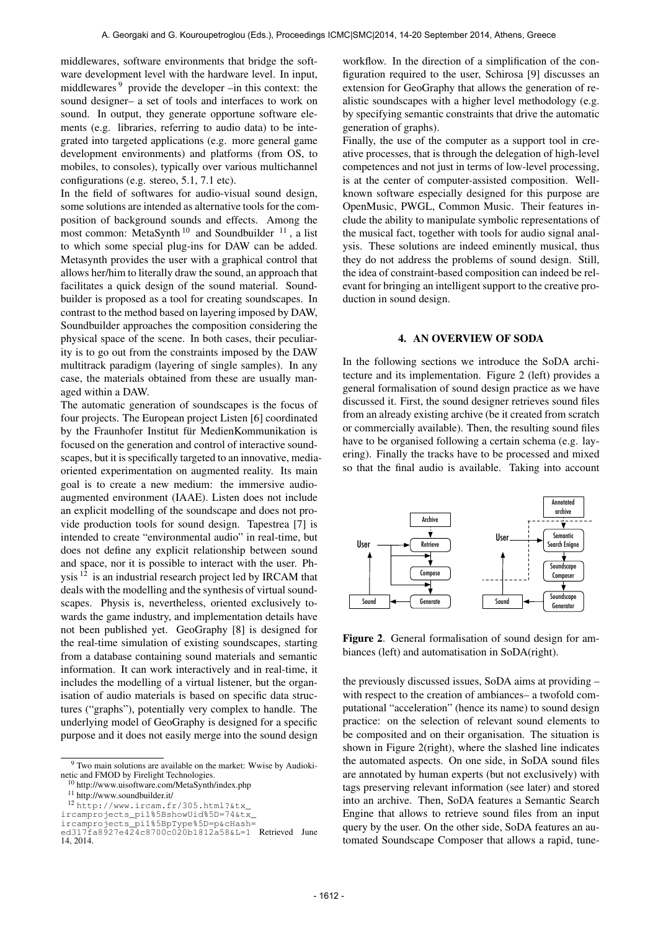middlewares, software environments that bridge the software development level with the hardware level. In input, middlewares <sup>9</sup> provide the developer –in this context: the sound designer– a set of tools and interfaces to work on sound. In output, they generate opportune software elements (e.g. libraries, referring to audio data) to be integrated into targeted applications (e.g. more general game development environments) and platforms (from OS, to mobiles, to consoles), typically over various multichannel configurations (e.g. stereo, 5.1, 7.1 etc).

In the field of softwares for audio-visual sound design, some solutions are intended as alternative tools for the composition of background sounds and effects. Among the most common: MetaSynth<sup>10</sup> and Soundbuilder<sup>11</sup>, a list to which some special plug-ins for DAW can be added. Metasynth provides the user with a graphical control that allows her/him to literally draw the sound, an approach that facilitates a quick design of the sound material. Soundbuilder is proposed as a tool for creating soundscapes. In contrast to the method based on layering imposed by DAW, Soundbuilder approaches the composition considering the physical space of the scene. In both cases, their peculiarity is to go out from the constraints imposed by the DAW multitrack paradigm (layering of single samples). In any case, the materials obtained from these are usually managed within a DAW.

The automatic generation of soundscapes is the focus of four projects. The European project Listen [6] coordinated by the Fraunhofer Institut für MedienKommunikation is focused on the generation and control of interactive soundscapes, but it is specifically targeted to an innovative, mediaoriented experimentation on augmented reality. Its main goal is to create a new medium: the immersive audioaugmented environment (IAAE). Listen does not include an explicit modelling of the soundscape and does not provide production tools for sound design. Tapestrea [7] is intended to create "environmental audio" in real-time, but does not define any explicit relationship between sound and space, nor it is possible to interact with the user. Physis 12 is an industrial research project led by IRCAM that deals with the modelling and the synthesis of virtual soundscapes. Physis is, nevertheless, oriented exclusively towards the game industry, and implementation details have not been published yet. GeoGraphy [8] is designed for the real-time simulation of existing soundscapes, starting from a database containing sound materials and semantic information. It can work interactively and in real-time, it includes the modelling of a virtual listener, but the organisation of audio materials is based on specific data structures ("graphs"), potentially very complex to handle. The underlying model of GeoGraphy is designed for a specific purpose and it does not easily merge into the sound design

<sup>11</sup> http://www.soundbuilder.it/

workflow. In the direction of a simplification of the configuration required to the user, Schirosa [9] discusses an extension for GeoGraphy that allows the generation of realistic soundscapes with a higher level methodology (e.g. by specifying semantic constraints that drive the automatic generation of graphs).

Finally, the use of the computer as a support tool in creative processes, that is through the delegation of high-level competences and not just in terms of low-level processing, is at the center of computer-assisted composition. Wellknown software especially designed for this purpose are OpenMusic, PWGL, Common Music. Their features include the ability to manipulate symbolic representations of the musical fact, together with tools for audio signal analysis. These solutions are indeed eminently musical, thus they do not address the problems of sound design. Still, the idea of constraint-based composition can indeed be relevant for bringing an intelligent support to the creative production in sound design.

#### 4. AN OVERVIEW OF SODA

In the following sections we introduce the SoDA architecture and its implementation. Figure 2 (left) provides a general formalisation of sound design practice as we have discussed it. First, the sound designer retrieves sound files from an already existing archive (be it created from scratch or commercially available). Then, the resulting sound files have to be organised following a certain schema (e.g. layering). Finally the tracks have to be processed and mixed so that the final audio is available. Taking into account



Figure 2. General formalisation of sound design for ambiances (left) and automatisation in SoDA(right).

the previously discussed issues, SoDA aims at providing – with respect to the creation of ambiances– a twofold computational "acceleration" (hence its name) to sound design practice: on the selection of relevant sound elements to be composited and on their organisation. The situation is shown in Figure 2(right), where the slashed line indicates the automated aspects. On one side, in SoDA sound files are annotated by human experts (but not exclusively) with tags preserving relevant information (see later) and stored into an archive. Then, SoDA features a Semantic Search Engine that allows to retrieve sound files from an input query by the user. On the other side, SoDA features an automated Soundscape Composer that allows a rapid, tune-

<sup>&</sup>lt;sup>9</sup> Two main solutions are available on the market: Wwise by Audiokinetic and FMOD by Firelight Technologies.

<sup>10</sup> http://www.uisoftware.com/MetaSynth/index.php

<sup>12</sup> [http://www.ircam.fr/305.html?&tx\\_](http://www.ircam.fr/305.html?&tx_ircamprojects_pi1%5BshowUid%5D=74&tx_ircamprojects_pi1%5BpType%5D=p&cHash=ed317fa8927e424c8700c020b1812a58&L=1)

[ircamprojects\\_pi1%5BshowUid%5D=74&tx\\_](http://www.ircam.fr/305.html?&tx_ircamprojects_pi1%5BshowUid%5D=74&tx_ircamprojects_pi1%5BpType%5D=p&cHash=ed317fa8927e424c8700c020b1812a58&L=1)

[ircamprojects\\_pi1%5BpType%5D=p&cHash=](http://www.ircam.fr/305.html?&tx_ircamprojects_pi1%5BshowUid%5D=74&tx_ircamprojects_pi1%5BpType%5D=p&cHash=ed317fa8927e424c8700c020b1812a58&L=1) [ed317fa8927e424c8700c020b1812a58&L=1](http://www.ircam.fr/305.html?&tx_ircamprojects_pi1%5BshowUid%5D=74&tx_ircamprojects_pi1%5BpType%5D=p&cHash=ed317fa8927e424c8700c020b1812a58&L=1) Retrieved June 14, 2014.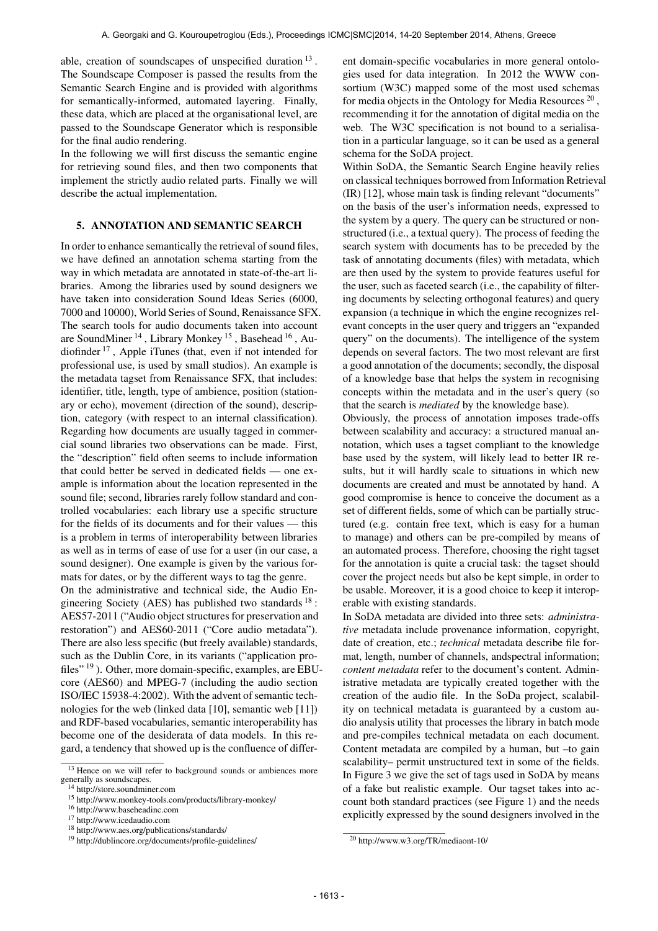able, creation of soundscapes of unspecified duration  $13$ . The Soundscape Composer is passed the results from the Semantic Search Engine and is provided with algorithms for semantically-informed, automated layering. Finally, these data, which are placed at the organisational level, are passed to the Soundscape Generator which is responsible for the final audio rendering.

In the following we will first discuss the semantic engine for retrieving sound files, and then two components that implement the strictly audio related parts. Finally we will describe the actual implementation.

#### 5. ANNOTATION AND SEMANTIC SEARCH

In order to enhance semantically the retrieval of sound files, we have defined an annotation schema starting from the way in which metadata are annotated in state-of-the-art libraries. Among the libraries used by sound designers we have taken into consideration Sound Ideas Series (6000, 7000 and 10000), World Series of Sound, Renaissance SFX. The search tools for audio documents taken into account are SoundMiner<sup>14</sup>, Library Monkey<sup>15</sup>, Basehead<sup>16</sup>, Audiofinder 17 , Apple iTunes (that, even if not intended for professional use, is used by small studios). An example is the metadata tagset from Renaissance SFX, that includes: identifier, title, length, type of ambience, position (stationary or echo), movement (direction of the sound), description, category (with respect to an internal classification). Regarding how documents are usually tagged in commercial sound libraries two observations can be made. First, the "description" field often seems to include information that could better be served in dedicated fields — one example is information about the location represented in the sound file; second, libraries rarely follow standard and controlled vocabularies: each library use a specific structure for the fields of its documents and for their values — this is a problem in terms of interoperability between libraries as well as in terms of ease of use for a user (in our case, a sound designer). One example is given by the various formats for dates, or by the different ways to tag the genre.

On the administrative and technical side, the Audio Engineering Society (AES) has published two standards  $18$ : AES57-2011 ("Audio object structures for preservation and restoration") and AES60-2011 ("Core audio metadata"). There are also less specific (but freely available) standards, such as the Dublin Core, in its variants ("application profiles" 19 ). Other, more domain-specific, examples, are EBUcore (AES60) and MPEG-7 (including the audio section ISO/IEC 15938-4:2002). With the advent of semantic technologies for the web (linked data [10], semantic web [11]) and RDF-based vocabularies, semantic interoperability has become one of the desiderata of data models. In this regard, a tendency that showed up is the confluence of different domain-specific vocabularies in more general ontologies used for data integration. In 2012 the WWW consortium (W3C) mapped some of the most used schemas for media objects in the Ontology for Media Resources<sup>20</sup>, recommending it for the annotation of digital media on the web. The W3C specification is not bound to a serialisation in a particular language, so it can be used as a general schema for the SoDA project.

Within SoDA, the Semantic Search Engine heavily relies on classical techniques borrowed from Information Retrieval (IR) [12], whose main task is finding relevant "documents" on the basis of the user's information needs, expressed to the system by a query. The query can be structured or nonstructured (i.e., a textual query). The process of feeding the search system with documents has to be preceded by the task of annotating documents (files) with metadata, which are then used by the system to provide features useful for the user, such as faceted search (i.e., the capability of filtering documents by selecting orthogonal features) and query expansion (a technique in which the engine recognizes relevant concepts in the user query and triggers an "expanded query" on the documents). The intelligence of the system depends on several factors. The two most relevant are first a good annotation of the documents; secondly, the disposal of a knowledge base that helps the system in recognising concepts within the metadata and in the user's query (so that the search is *mediated* by the knowledge base).

Obviously, the process of annotation imposes trade-offs between scalability and accuracy: a structured manual annotation, which uses a tagset compliant to the knowledge base used by the system, will likely lead to better IR results, but it will hardly scale to situations in which new documents are created and must be annotated by hand. A good compromise is hence to conceive the document as a set of different fields, some of which can be partially structured (e.g. contain free text, which is easy for a human to manage) and others can be pre-compiled by means of an automated process. Therefore, choosing the right tagset for the annotation is quite a crucial task: the tagset should cover the project needs but also be kept simple, in order to be usable. Moreover, it is a good choice to keep it interoperable with existing standards.

In SoDA metadata are divided into three sets: *administrative* metadata include provenance information, copyright, date of creation, etc.; *technical* metadata describe file format, length, number of channels, andspectral information; *content metadata* refer to the document's content. Administrative metadata are typically created together with the creation of the audio file. In the SoDa project, scalability on technical metadata is guaranteed by a custom audio analysis utility that processes the library in batch mode and pre-compiles technical metadata on each document. Content metadata are compiled by a human, but –to gain scalability– permit unstructured text in some of the fields. In Figure 3 we give the set of tags used in SoDA by means of a fake but realistic example. Our tagset takes into account both standard practices (see Figure 1) and the needs explicitly expressed by the sound designers involved in the

<sup>&</sup>lt;sup>13</sup> Hence on we will refer to background sounds or ambiences more generally as soundscapes.

<sup>14</sup> http://store.soundminer.com

<sup>15</sup> http://www.monkey-tools.com/products/library-monkey/

<sup>16</sup> http://www.baseheadinc.com

<sup>17</sup> http://www.icedaudio.com

<sup>18</sup> http://www.aes.org/publications/standards/

<sup>19</sup> http://dublincore.org/documents/profile-guidelines/

<sup>20</sup> http://www.w3.org/TR/mediaont-10/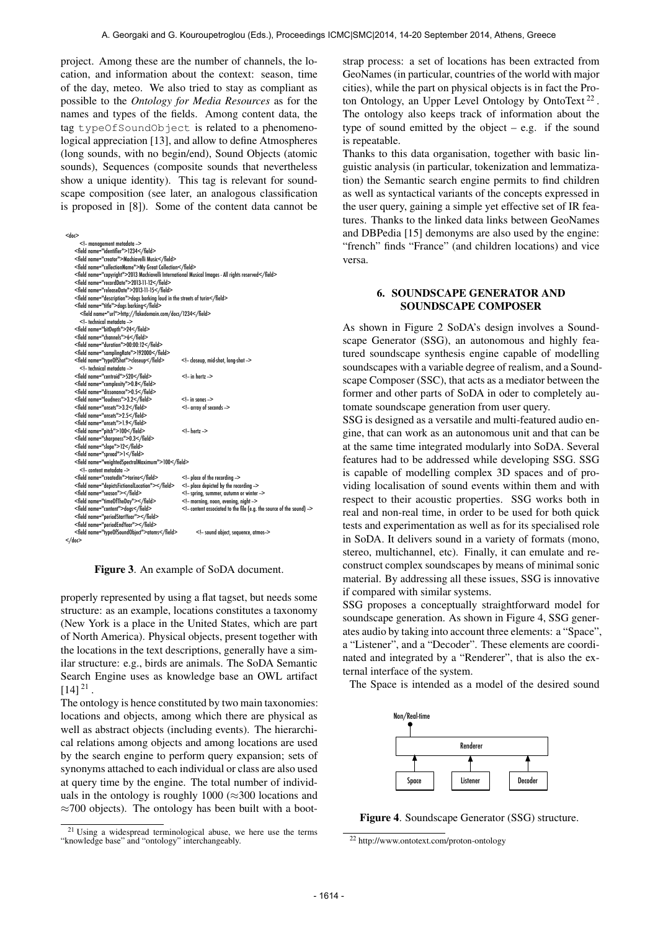project. Among these are the number of channels, the location, and information about the context: season, time of the day, meteo. We also tried to stay as compliant as possible to the *Ontology for Media Resources* as for the names and types of the fields. Among content data, the tag typeOfSoundObject is related to a phenomenological appreciation [13], and allow to define Atmospheres (long sounds, with no begin/end), Sound Objects (atomic sounds), Sequences (composite sounds that nevertheless show a unique identity). This tag is relevant for soundscape composition (see later, an analogous classification is proposed in [8]). Some of the content data cannot be

| $<$ dor $>$                                                                                         |                                                                   |
|-----------------------------------------------------------------------------------------------------|-------------------------------------------------------------------|
| - management metadata -                                                                             |                                                                   |
| <field name="identifier">1234</field>                                                               |                                                                   |
| <field name="creator">Machiavelli Music</field>                                                     |                                                                   |
| <field name="collectionName">My Great Collection</field>                                            |                                                                   |
| <field name="copyright">2013 Machiavelli International Musical Images - All rights reserved</field> |                                                                   |
| <field name="recordDate">2013-11-12</field>                                                         |                                                                   |
| <field name="releaseDate">2013-11-15</field>                                                        |                                                                   |
| <field name="description">dogs barking loud in the streets of turin</field>                         |                                                                   |
| <field name="title">dogs barking</field>                                                            |                                                                   |
| <field name="url">http://fakedomain.com/docs/1234</field>                                           |                                                                   |
| - technical metadata -                                                                              |                                                                   |
| <field name="bitDepth">24</field>                                                                   |                                                                   |
| <field name="channels">6</field>                                                                    |                                                                   |
| <field name="duration">00:00:12</field>                                                             |                                                                   |
| <field name="samplingRate">192000</field>                                                           |                                                                   |
| <field name="typeOfShot">closeup</field>                                                            | - closeup, mid-shot, long-shot -                                  |
| - technical metadata -                                                                              |                                                                   |
| <field name="centroid">520</field>                                                                  | $<$ !- in hertz ->                                                |
| <field name="complexity">0.8</field>                                                                |                                                                   |
| <field name="dissonance">0.5</field>                                                                |                                                                   |
| <field name="loudness">3.2</field>                                                                  | $<$ !- in sones ->                                                |
| <field name="onsets">3.2</field>                                                                    | - array of seconds -                                              |
| <field name="onsets">2.5</field>                                                                    |                                                                   |
| <field name="onsets">1.9</field>                                                                    |                                                                   |
| <field name="pitch">100</field>                                                                     | $<$ !- hertz ->                                                   |
| <field name="sharpness">0.3</field>                                                                 |                                                                   |
| <field name="slope">12</field>                                                                      |                                                                   |
| <field name="spread">1</field>                                                                      |                                                                   |
| <field name="weightedSpectralMaximum">100</field>                                                   |                                                                   |
| - content metadata -                                                                                |                                                                   |
| <field name="createdIn">torino</field>                                                              | $\leq$ - place of the recording $\geq$                            |
| <field name="depictsFictionalLocation"></field>                                                     | - place depicted by the recording -                               |
| <field name="season"></field>                                                                       | - spring, summer, autumn or winter -                              |
| <field name="timeOfTheDay"></field>                                                                 | - morning, noon, evening, night -                                 |
| <field name="content">dogs</field>                                                                  | - content associated to the file (e.g. the source of the sound) - |
| <field name="periodStartYear"></field>                                                              |                                                                   |
| <field name="periodEndYear"></field>                                                                |                                                                   |
| <field name="typeOfSoundObject">atoms</field>                                                       | - sound object, sequence, atmos-                                  |
| $<$ /doc>                                                                                           |                                                                   |

Figure 3. An example of SoDA document.

properly represented by using a flat tagset, but needs some structure: as an example, locations constitutes a taxonomy (New York is a place in the United States, which are part of North America). Physical objects, present together with the locations in the text descriptions, generally have a similar structure: e.g., birds are animals. The SoDA Semantic Search Engine uses as knowledge base an OWL artifact  $[14]$ <sup>21</sup>.

The ontology is hence constituted by two main taxonomies: locations and objects, among which there are physical as well as abstract objects (including events). The hierarchical relations among objects and among locations are used by the search engine to perform query expansion; sets of synonyms attached to each individual or class are also used at query time by the engine. The total number of individuals in the ontology is roughly 1000 ( $\approx$ 300 locations and  $\approx$ 700 objects). The ontology has been built with a bootstrap process: a set of locations has been extracted from GeoNames (in particular, countries of the world with major cities), while the part on physical objects is in fact the Proton Ontology, an Upper Level Ontology by OntoText<sup>22</sup>. The ontology also keeps track of information about the type of sound emitted by the object  $-$  e.g. if the sound is repeatable.

Thanks to this data organisation, together with basic linguistic analysis (in particular, tokenization and lemmatization) the Semantic search engine permits to find children as well as syntactical variants of the concepts expressed in the user query, gaining a simple yet effective set of IR features. Thanks to the linked data links between GeoNames and DBPedia [15] demonyms are also used by the engine: "french" finds "France" (and children locations) and vice versa.

## 6. SOUNDSCAPE GENERATOR AND SOUNDSCAPE COMPOSER

As shown in Figure 2 SoDA's design involves a Soundscape Generator (SSG), an autonomous and highly featured soundscape synthesis engine capable of modelling soundscapes with a variable degree of realism, and a Soundscape Composer (SSC), that acts as a mediator between the former and other parts of SoDA in oder to completely automate soundscape generation from user query.

SSG is designed as a versatile and multi-featured audio engine, that can work as an autonomous unit and that can be at the same time integrated modularly into SoDA. Several features had to be addressed while developing SSG. SSG is capable of modelling complex 3D spaces and of providing localisation of sound events within them and with respect to their acoustic properties. SSG works both in real and non-real time, in order to be used for both quick tests and experimentation as well as for its specialised role in SoDA. It delivers sound in a variety of formats (mono, stereo, multichannel, etc). Finally, it can emulate and reconstruct complex soundscapes by means of minimal sonic material. By addressing all these issues, SSG is innovative if compared with similar systems.

SSG proposes a conceptually straightforward model for soundscape generation. As shown in Figure 4, SSG generates audio by taking into account three elements: a "Space", a "Listener", and a "Decoder". These elements are coordinated and integrated by a "Renderer", that is also the external interface of the system.

The Space is intended as a model of the desired sound



Figure 4. Soundscape Generator (SSG) structure.

<sup>21</sup> Using a widespread terminological abuse, we here use the terms "knowledge base" and "ontology" interchangeably.

<sup>22</sup> http://www.ontotext.com/proton-ontology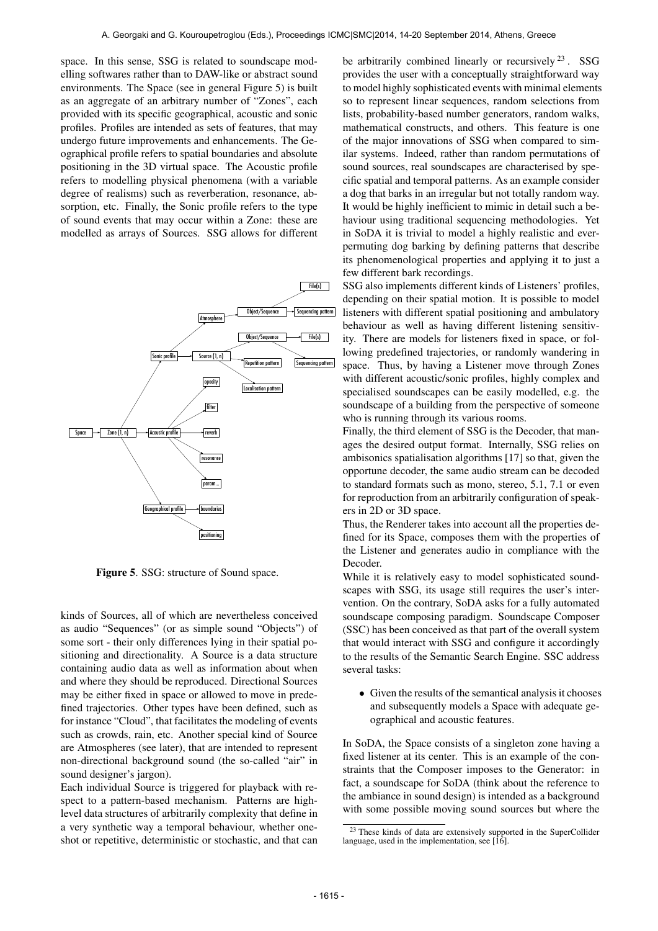space. In this sense, SSG is related to soundscape modelling softwares rather than to DAW-like or abstract sound environments. The Space (see in general Figure 5) is built as an aggregate of an arbitrary number of "Zones", each provided with its specific geographical, acoustic and sonic profiles. Profiles are intended as sets of features, that may undergo future improvements and enhancements. The Geographical profile refers to spatial boundaries and absolute positioning in the 3D virtual space. The Acoustic profile refers to modelling physical phenomena (with a variable degree of realisms) such as reverberation, resonance, absorption, etc. Finally, the Sonic profile refers to the type of sound events that may occur within a Zone: these are modelled as arrays of Sources. SSG allows for different



Figure 5. SSG: structure of Sound space.

kinds of Sources, all of which are nevertheless conceived as audio "Sequences" (or as simple sound "Objects") of some sort - their only differences lying in their spatial positioning and directionality. A Source is a data structure containing audio data as well as information about when and where they should be reproduced. Directional Sources may be either fixed in space or allowed to move in predefined trajectories. Other types have been defined, such as for instance "Cloud", that facilitates the modeling of events such as crowds, rain, etc. Another special kind of Source are Atmospheres (see later), that are intended to represent non-directional background sound (the so-called "air" in sound designer's jargon).

Each individual Source is triggered for playback with respect to a pattern-based mechanism. Patterns are highlevel data structures of arbitrarily complexity that define in a very synthetic way a temporal behaviour, whether oneshot or repetitive, deterministic or stochastic, and that can be arbitrarily combined linearly or recursively  $2^3$ . SSG provides the user with a conceptually straightforward way to model highly sophisticated events with minimal elements so to represent linear sequences, random selections from lists, probability-based number generators, random walks, mathematical constructs, and others. This feature is one of the major innovations of SSG when compared to similar systems. Indeed, rather than random permutations of sound sources, real soundscapes are characterised by specific spatial and temporal patterns. As an example consider a dog that barks in an irregular but not totally random way. It would be highly inefficient to mimic in detail such a behaviour using traditional sequencing methodologies. Yet in SoDA it is trivial to model a highly realistic and everpermuting dog barking by defining patterns that describe its phenomenological properties and applying it to just a few different bark recordings.

SSG also implements different kinds of Listeners' profiles, depending on their spatial motion. It is possible to model listeners with different spatial positioning and ambulatory behaviour as well as having different listening sensitivity. There are models for listeners fixed in space, or following predefined trajectories, or randomly wandering in space. Thus, by having a Listener move through Zones with different acoustic/sonic profiles, highly complex and specialised soundscapes can be easily modelled, e.g. the soundscape of a building from the perspective of someone who is running through its various rooms.

Finally, the third element of SSG is the Decoder, that manages the desired output format. Internally, SSG relies on ambisonics spatialisation algorithms [17] so that, given the opportune decoder, the same audio stream can be decoded to standard formats such as mono, stereo, 5.1, 7.1 or even for reproduction from an arbitrarily configuration of speakers in 2D or 3D space.

Thus, the Renderer takes into account all the properties defined for its Space, composes them with the properties of the Listener and generates audio in compliance with the Decoder.

While it is relatively easy to model sophisticated soundscapes with SSG, its usage still requires the user's intervention. On the contrary, SoDA asks for a fully automated soundscape composing paradigm. Soundscape Composer (SSC) has been conceived as that part of the overall system that would interact with SSG and configure it accordingly to the results of the Semantic Search Engine. SSC address several tasks:

• Given the results of the semantical analysis it chooses and subsequently models a Space with adequate geographical and acoustic features.

In SoDA, the Space consists of a singleton zone having a fixed listener at its center. This is an example of the constraints that the Composer imposes to the Generator: in fact, a soundscape for SoDA (think about the reference to the ambiance in sound design) is intended as a background with some possible moving sound sources but where the

<sup>&</sup>lt;sup>23</sup> These kinds of data are extensively supported in the SuperCollider language, used in the implementation, see  $[\hat{16}]$ .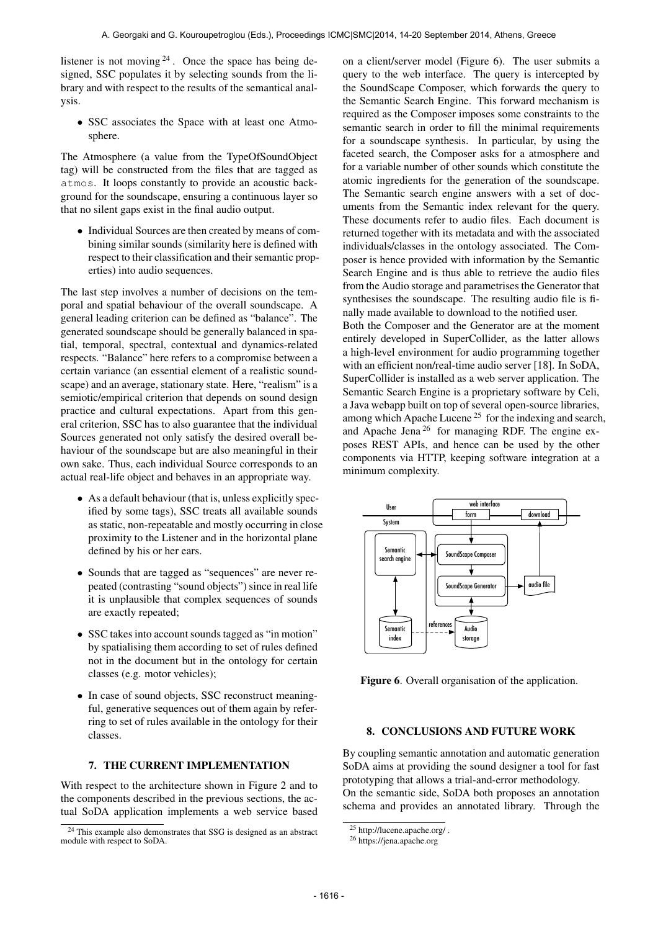listener is not moving  $2^4$ . Once the space has being designed, SSC populates it by selecting sounds from the library and with respect to the results of the semantical analysis.

• SSC associates the Space with at least one Atmosphere.

The Atmosphere (a value from the TypeOfSoundObject tag) will be constructed from the files that are tagged as atmos. It loops constantly to provide an acoustic background for the soundscape, ensuring a continuous layer so that no silent gaps exist in the final audio output.

• Individual Sources are then created by means of combining similar sounds (similarity here is defined with respect to their classification and their semantic properties) into audio sequences.

The last step involves a number of decisions on the temporal and spatial behaviour of the overall soundscape. A general leading criterion can be defined as "balance". The generated soundscape should be generally balanced in spatial, temporal, spectral, contextual and dynamics-related respects. "Balance" here refers to a compromise between a certain variance (an essential element of a realistic soundscape) and an average, stationary state. Here, "realism" is a semiotic/empirical criterion that depends on sound design practice and cultural expectations. Apart from this general criterion, SSC has to also guarantee that the individual Sources generated not only satisfy the desired overall behaviour of the soundscape but are also meaningful in their own sake. Thus, each individual Source corresponds to an actual real-life object and behaves in an appropriate way.

- As a default behaviour (that is, unless explicitly specified by some tags), SSC treats all available sounds as static, non-repeatable and mostly occurring in close proximity to the Listener and in the horizontal plane defined by his or her ears.
- Sounds that are tagged as "sequences" are never repeated (contrasting "sound objects") since in real life it is unplausible that complex sequences of sounds are exactly repeated;
- SSC takes into account sounds tagged as "in motion" by spatialising them according to set of rules defined not in the document but in the ontology for certain classes (e.g. motor vehicles);
- In case of sound objects, SSC reconstruct meaningful, generative sequences out of them again by referring to set of rules available in the ontology for their classes.

# 7. THE CURRENT IMPLEMENTATION

With respect to the architecture shown in Figure 2 and to the components described in the previous sections, the actual SoDA application implements a web service based on a client/server model (Figure 6). The user submits a query to the web interface. The query is intercepted by the SoundScape Composer, which forwards the query to the Semantic Search Engine. This forward mechanism is required as the Composer imposes some constraints to the semantic search in order to fill the minimal requirements for a soundscape synthesis. In particular, by using the faceted search, the Composer asks for a atmosphere and for a variable number of other sounds which constitute the atomic ingredients for the generation of the soundscape. The Semantic search engine answers with a set of documents from the Semantic index relevant for the query. These documents refer to audio files. Each document is returned together with its metadata and with the associated individuals/classes in the ontology associated. The Composer is hence provided with information by the Semantic Search Engine and is thus able to retrieve the audio files from the Audio storage and parametrises the Generator that synthesises the soundscape. The resulting audio file is finally made available to download to the notified user. Both the Composer and the Generator are at the moment entirely developed in SuperCollider, as the latter allows a high-level environment for audio programming together with an efficient non/real-time audio server [18]. In SoDA, SuperCollider is installed as a web server application. The Semantic Search Engine is a proprietary software by Celi, a Java webapp built on top of several open-source libraries, among which Apache Lucene<sup>25</sup> for the indexing and search,

and Apache Jena 26 for managing RDF. The engine exposes REST APIs, and hence can be used by the other components via HTTP, keeping software integration at a minimum complexity.



Figure 6. Overall organisation of the application.

## 8. CONCLUSIONS AND FUTURE WORK

By coupling semantic annotation and automatic generation SoDA aims at providing the sound designer a tool for fast prototyping that allows a trial-and-error methodology.

On the semantic side, SoDA both proposes an annotation schema and provides an annotated library. Through the

<sup>24</sup> This example also demonstrates that SSG is designed as an abstract module with respect to SoDA.

 $25$  http://lucene.apache.org/.

<sup>26</sup> https://jena.apache.org